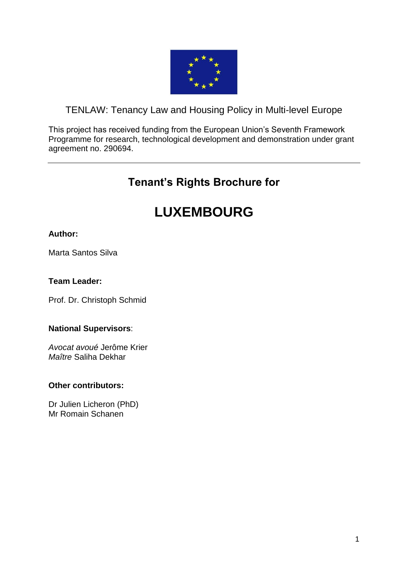

# <span id="page-0-0"></span>TENLAW: Tenancy Law and Housing Policy in Multi-level Europe

This project has received funding from the European Union's Seventh Framework Programme for research, technological development and demonstration under grant agreement no. 290694.

# **Tenant's Rights Brochure for**

# **LUXEMBOURG**

# **Author:**

Marta Santos Silva

#### **Team Leader:**

Prof. Dr. Christoph Schmid

#### **National Supervisors**:

*Avocat avoué* Jerôme Krier *Maître* Saliha Dekhar

#### **Other contributors:**

Dr Julien Licheron (PhD) Mr Romain Schanen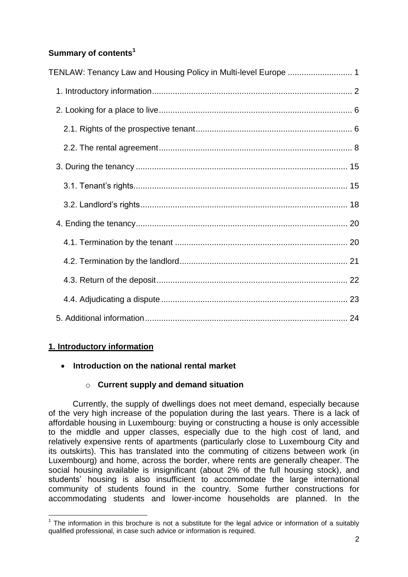# **Summary of contents<sup>1</sup>**

| TENLAW: Tenancy Law and Housing Policy in Multi-level Europe  1 |  |
|-----------------------------------------------------------------|--|
|                                                                 |  |
|                                                                 |  |
|                                                                 |  |
|                                                                 |  |
|                                                                 |  |
|                                                                 |  |
|                                                                 |  |
|                                                                 |  |
|                                                                 |  |
|                                                                 |  |
|                                                                 |  |
|                                                                 |  |
|                                                                 |  |

# <span id="page-1-0"></span>**1. Introductory information**

**.** 

# **Introduction on the national rental market**

# o **Current supply and demand situation**

Currently, the supply of dwellings does not meet demand, especially because of the very high increase of the population during the last years. There is a lack of affordable housing in Luxembourg: buying or constructing a house is only accessible to the middle and upper classes, especially due to the high cost of land, and relatively expensive rents of apartments (particularly close to Luxembourg City and its outskirts). This has translated into the commuting of citizens between work (in Luxembourg) and home, across the border, where rents are generally cheaper. The social housing available is insignificant (about 2% of the full housing stock), and students' housing is also insufficient to accommodate the large international community of students found in the country. Some further constructions for accommodating students and lower-income households are planned. In the

 $1$  The information in this brochure is not a substitute for the legal advice or information of a suitably qualified professional, in case such advice or information is required.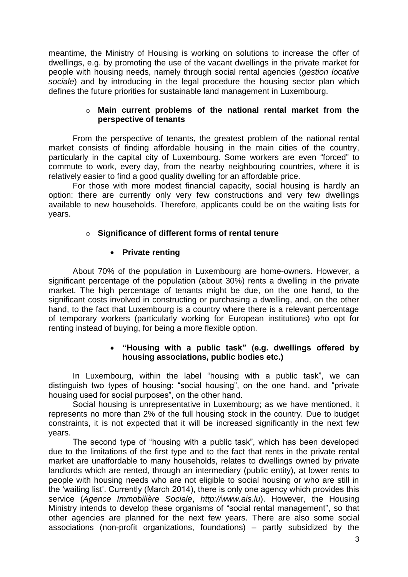meantime, the Ministry of Housing is working on solutions to increase the offer of dwellings, e.g. by promoting the use of the vacant dwellings in the private market for people with housing needs, namely through social rental agencies (*gestion locative sociale*) and by introducing in the legal procedure the housing sector plan which defines the future priorities for sustainable land management in Luxembourg.

#### o **Main current problems of the national rental market from the perspective of tenants**

From the perspective of tenants, the greatest problem of the national rental market consists of finding affordable housing in the main cities of the country, particularly in the capital city of Luxembourg. Some workers are even "forced" to commute to work, every day, from the nearby neighbouring countries, where it is relatively easier to find a good quality dwelling for an affordable price.

For those with more modest financial capacity, social housing is hardly an option: there are currently only very few constructions and very few dwellings available to new households. Therefore, applicants could be on the waiting lists for years.

#### o **Significance of different forms of rental tenure**

#### **•** Private renting

About 70% of the population in Luxembourg are home-owners. However, a significant percentage of the population (about 30%) rents a dwelling in the private market. The high percentage of tenants might be due, on the one hand, to the significant costs involved in constructing or purchasing a dwelling, and, on the other hand, to the fact that Luxembourg is a country where there is a relevant percentage of temporary workers (particularly working for European institutions) who opt for renting instead of buying, for being a more flexible option.

#### **"Housing with a public task" (e.g. dwellings offered by housing associations, public bodies etc.)**

In Luxembourg, within the label "housing with a public task", we can distinguish two types of housing: "social housing", on the one hand, and "private housing used for social purposes", on the other hand.

Social housing is unrepresentative in Luxembourg; as we have mentioned, it represents no more than 2% of the full housing stock in the country. Due to budget constraints, it is not expected that it will be increased significantly in the next few years.

The second type of "housing with a public task", which has been developed due to the limitations of the first type and to the fact that rents in the private rental market are unaffordable to many households, relates to dwellings owned by private landlords which are rented, through an intermediary (public entity), at lower rents to people with housing needs who are not eligible to social housing or who are still in the 'waiting list'. Currently (March 2014), there is only one agency which provides this service (*Agence Immobilière Sociale*, *http:/[/www.ais.lu](http://www.ais.lu/)*). However, the Housing Ministry intends to develop these organisms of "social rental management", so that other agencies are planned for the next few years. There are also some social associations (non-profit organizations, foundations) – partly subsidized by the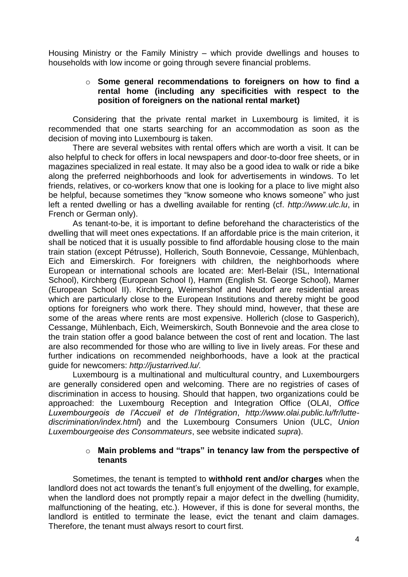Housing Ministry or the Family Ministry – which provide dwellings and houses to households with low income or going through severe financial problems.

#### o **Some general recommendations to foreigners on how to find a rental home (including any specificities with respect to the position of foreigners on the national rental market)**

Considering that the private rental market in Luxembourg is limited, it is recommended that one starts searching for an accommodation as soon as the decision of moving into Luxembourg is taken.

There are several websites with rental offers which are worth a visit. It can be also helpful to check for offers in local newspapers and door-to-door free sheets, or in magazines specialized in real estate. It may also be a good idea to walk or ride a bike along the preferred neighborhoods and look for advertisements in windows. To let friends, relatives, or co-workers know that one is looking for a place to live might also be helpful, because sometimes they "know someone who knows someone" who just left a rented dwelling or has a dwelling available for renting (cf. *[http://www.ulc.lu](http://www.ulc.lu/)*, in French or German only).

As tenant-to-be, it is important to define beforehand the characteristics of the dwelling that will meet ones expectations. If an affordable price is the main criterion, it shall be noticed that it is usually possible to find affordable housing close to the main train station (except Pétrusse), Hollerich, South Bonnevoie, Cessange, Mühlenbach, Eich and Eimerskirch. For foreigners with children, the neighborhoods where European or international schools are located are: Merl-Belair (ISL, International School), Kirchberg (European School I), Hamm (English St. George School), Mamer (European School II). Kirchberg, Weimershof and Neudorf are residential areas which are particularly close to the European Institutions and thereby might be good options for foreigners who work there. They should mind, however, that these are some of the areas where rents are most expensive. Hollerich (close to Gasperich), Cessange, Mühlenbach, Eich, Weimerskirch, South Bonnevoie and the area close to the train station offer a good balance between the cost of rent and location. The last are also recommended for those who are willing to live in lively areas. For these and further indications on recommended neighborhoods, have a look at the practical guide for newcomers: *[http://justarrived.lu/.](http://justarrived.lu/)* 

Luxembourg is a multinational and multicultural country, and Luxembourgers are generally considered open and welcoming. There are no registries of cases of discrimination in access to housing. Should that happen, two organizations could be approached: the Luxembourg Reception and Integration Office (OLAI, *Office Luxembourgeois de l'Accueil et de l'Intégration*, *[http://www.olai.public.lu/fr/lutte](http://www.olai.public.lu/fr/lutte-discrimination/index.html)[discrimination/index.html](http://www.olai.public.lu/fr/lutte-discrimination/index.html)*) and the Luxembourg Consumers Union (ULC, *Union Luxembourgeoise des Consommateurs*, see website indicated *supra*).

#### o **Main problems and "traps" in tenancy law from the perspective of tenants**

Sometimes, the tenant is tempted to **withhold rent and/or charges** when the landlord does not act towards the tenant's full enjoyment of the dwelling, for example, when the landlord does not promptly repair a major defect in the dwelling (humidity, malfunctioning of the heating, etc.). However, if this is done for several months, the landlord is entitled to terminate the lease, evict the tenant and claim damages. Therefore, the tenant must always resort to court first.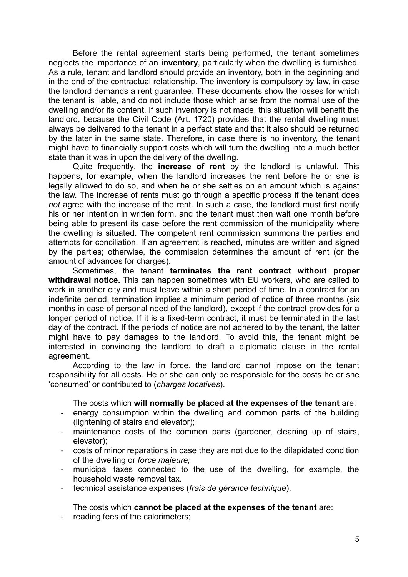Before the rental agreement starts being performed, the tenant sometimes neglects the importance of an **inventory**, particularly when the dwelling is furnished. As a rule, tenant and landlord should provide an inventory, both in the beginning and in the end of the contractual relationship. The inventory is compulsory by law, in case the landlord demands a rent guarantee. These documents show the losses for which the tenant is liable, and do not include those which arise from the normal use of the dwelling and/or its content. If such inventory is not made, this situation will benefit the landlord, because the Civil Code (Art. 1720) provides that the rental dwelling must always be delivered to the tenant in a perfect state and that it also should be returned by the later in the same state. Therefore, in case there is no inventory, the tenant might have to financially support costs which will turn the dwelling into a much better state than it was in upon the delivery of the dwelling.

Quite frequently, the **increase of rent** by the landlord is unlawful. This happens, for example, when the landlord increases the rent before he or she is legally allowed to do so, and when he or she settles on an amount which is against the law. The increase of rents must go through a specific process if the tenant does *not* agree with the increase of the rent. In such a case, the landlord must first notify his or her intention in written form, and the tenant must then wait one month before being able to present its case before the rent commission of the municipality where the dwelling is situated. The competent rent commission summons the parties and attempts for conciliation. If an agreement is reached, minutes are written and signed by the parties; otherwise, the commission determines the amount of rent (or the amount of advances for charges).

Sometimes, the tenant **terminates the rent contract without proper withdrawal notice.** This can happen sometimes with EU workers, who are called to work in another city and must leave within a short period of time. In a contract for an indefinite period, termination implies a minimum period of notice of three months (six months in case of personal need of the landlord), except if the contract provides for a longer period of notice. If it is a fixed-term contract, it must be terminated in the last day of the contract. If the periods of notice are not adhered to by the tenant, the latter might have to pay damages to the landlord. To avoid this, the tenant might be interested in convincing the landlord to draft a diplomatic clause in the rental agreement.

According to the law in force, the landlord cannot impose on the tenant responsibility for all costs. He or she can only be responsible for the costs he or she 'consumed' or contributed to (*charges locatives*).

The costs which **will normally be placed at the expenses of the tenant** are:

- energy consumption within the dwelling and common parts of the building (lightening of stairs and elevator);
- maintenance costs of the common parts (gardener, cleaning up of stairs, elevator);
- costs of minor reparations in case they are not due to the dilapidated condition of the dwelling or *force majeure;*
- municipal taxes connected to the use of the dwelling, for example, the household waste removal tax.
- technical assistance expenses (*frais de gérance technique*).

The costs which **cannot be placed at the expenses of the tenant** are:

- reading fees of the calorimeters;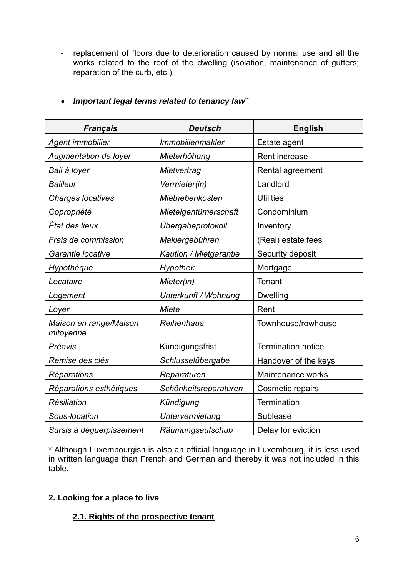- replacement of floors due to deterioration caused by normal use and all the works related to the roof of the dwelling (isolation, maintenance of gutters; reparation of the curb, etc.).

| <b>Français</b>                     | <b>Deutsch</b>          | <b>English</b>            |
|-------------------------------------|-------------------------|---------------------------|
| Agent immobilier                    | <b>Immobilienmakler</b> | Estate agent              |
| Augmentation de loyer               | Mieterhöhung            | Rent increase             |
| Bail à loyer                        | Mietvertrag             | Rental agreement          |
| <b>Bailleur</b>                     | Vermieter(in)           | Landlord                  |
| <b>Charges locatives</b>            | Mietnebenkosten         | <b>Utilities</b>          |
| Copropriété                         | Mieteigentümerschaft    | Condominium               |
| État des lieux                      | Übergabeprotokoll       | Inventory                 |
| Frais de commission                 | Maklergebühren          | (Real) estate fees        |
| Garantie locative                   | Kaution / Mietgarantie  | Security deposit          |
| Hypothèque                          | <b>Hypothek</b>         | Mortgage                  |
| Locataire                           | Mieter(in)              | Tenant                    |
| Logement                            | Unterkunft / Wohnung    | <b>Dwelling</b>           |
| Loyer                               | Miete                   | Rent                      |
| Maison en range/Maison<br>mitoyenne | Reihenhaus              | Townhouse/rowhouse        |
| Préavis                             | Kündigungsfrist         | <b>Termination notice</b> |
| Remise des clés                     | Schlusselübergabe       | Handover of the keys      |
| Réparations                         | Reparaturen             | Maintenance works         |
| Réparations esthétiques             | Schönheitsreparaturen   | Cosmetic repairs          |
| Résiliation                         | Kündigung               | Termination               |
| Sous-location                       | Untervermietung         | Sublease                  |
| Sursis à déguerpissement            | Räumungsaufschub        | Delay for eviction        |

# *Important legal terms related to tenancy law***"**

\* Although Luxembourgish is also an official language in Luxembourg, it is less used in written language than French and German and thereby it was not included in this table.

# <span id="page-5-0"></span>**2. Looking for a place to live**

# <span id="page-5-1"></span>**2.1. Rights of the prospective tenant**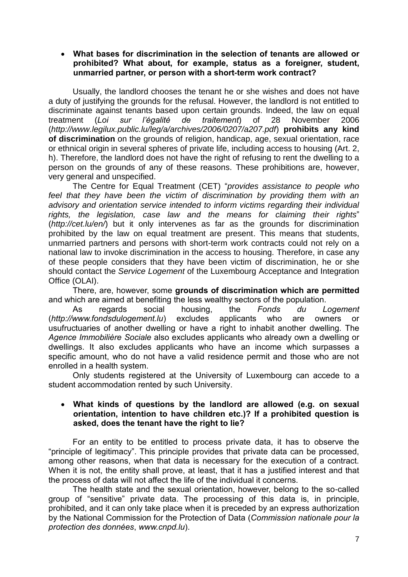#### **What bases for discrimination in the selection of tenants are allowed or prohibited? What about, for example, status as a foreigner, student, unmarried partner, or person with a short-term work contract?**

Usually, the landlord chooses the tenant he or she wishes and does not have a duty of justifying the grounds for the refusal. However, the landlord is not entitled to discriminate against tenants based upon certain grounds. Indeed, the law on equal treatment (*Loi sur l'égalité de traitement*) of 28 November 2006 (*<http://www.legilux.public.lu/leg/a/archives/2006/0207/a207.pdf>*) **prohibits any kind of discrimination** on the grounds of religion, handicap, age, sexual orientation, race or ethnical origin in several spheres of private life, including access to housing (Art. 2, h). Therefore, the landlord does not have the right of refusing to rent the dwelling to a person on the grounds of any of these reasons. These prohibitions are, however, very general and unspecified.

The Centre for Equal Treatment (CET) "*provides assistance to people who*  feel that they have been the victim of discrimination by providing them with an *advisory and orientation service intended to inform victims regarding their individual rights, the legislation, case law and the means for claiming their rights*" (*<http://cet.lu/en/>*) but it only intervenes as far as the grounds for discrimination prohibited by the law on equal treatment are present. This means that students, unmarried partners and persons with short-term work contracts could not rely on a national law to invoke discrimination in the access to housing. Therefore, in case any of these people considers that they have been victim of discrimination, he or she should contact the *Service Logement* of the Luxembourg Acceptance and Integration Office (OLAI).

There, are, however, some **grounds of discrimination which are permitted** and which are aimed at benefiting the less wealthy sectors of the population.

As regards social housing, the *Fonds du Logement* (*[http://www.fondsdulogement.lu](http://www.fondsdulogement.lu/)*) excludes applicants who are owners or usufructuaries of another dwelling or have a right to inhabit another dwelling. The *Agence Immobilière Sociale* also excludes applicants who already own a dwelling or dwellings. It also excludes applicants who have an income which surpasses a specific amount, who do not have a valid residence permit and those who are not enrolled in a health system.

Only students registered at the University of Luxembourg can accede to a student accommodation rented by such University.

#### **What kinds of questions by the landlord are allowed (e.g. on sexual orientation, intention to have children etc.)? If a prohibited question is asked, does the tenant have the right to lie?**

For an entity to be entitled to process private data, it has to observe the "principle of legitimacy". This principle provides that private data can be processed, among other reasons, when that data is necessary for the execution of a contract. When it is not, the entity shall prove, at least, that it has a justified interest and that the process of data will not affect the life of the individual it concerns.

The health state and the sexual orientation, however, belong to the so-called group of "sensitive" private data. The processing of this data is, in principle, prohibited, and it can only take place when it is preceded by an express authorization by the National Commission for the Protection of Data (*Commission nationale pour la protection des données*, *[www.cnpd.lu](http://www.cnpd.lu/)*).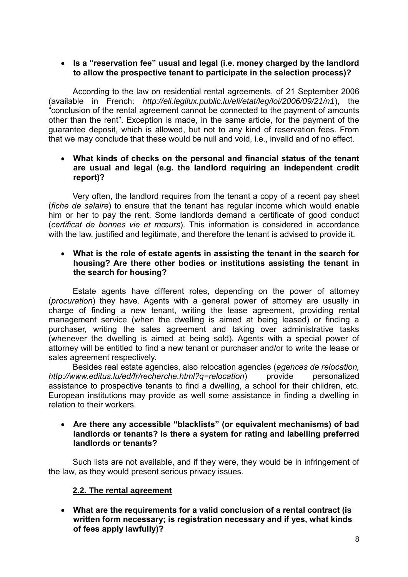#### **Is a "reservation fee" usual and legal (i.e. money charged by the landlord to allow the prospective tenant to participate in the selection process)?**

According to the law on residential rental agreements, of 21 September 2006 (available in French: *<http://eli.legilux.public.lu/eli/etat/leg/loi/2006/09/21/n1>*), the "conclusion of the rental agreement cannot be connected to the payment of amounts other than the rent". Exception is made, in the same article, for the payment of the guarantee deposit, which is allowed, but not to any kind of reservation fees. From that we may conclude that these would be null and void, i.e., invalid and of no effect.

#### **What kinds of checks on the personal and financial status of the tenant are usual and legal (e.g. the landlord requiring an independent credit report)?**

Very often, the landlord requires from the tenant a copy of a recent pay sheet (*fiche de salaire*) to ensure that the tenant has regular income which would enable him or her to pay the rent. Some landlords demand a certificate of good conduct (*certificat de bonnes vie et mœurs*). This information is considered in accordance with the law, justified and legitimate, and therefore the tenant is advised to provide it.

#### **What is the role of estate agents in assisting the tenant in the search for housing? Are there other bodies or institutions assisting the tenant in the search for housing?**

Estate agents have different roles, depending on the power of attorney (*procuration*) they have. Agents with a general power of attorney are usually in charge of finding a new tenant, writing the lease agreement, providing rental management service (when the dwelling is aimed at being leased) or finding a purchaser, writing the sales agreement and taking over administrative tasks (whenever the dwelling is aimed at being sold). Agents with a special power of attorney will be entitled to find a new tenant or purchaser and/or to write the lease or sales agreement respectively.

Besides real estate agencies, also relocation agencies (*agences de relocation, <http://www.editus.lu/ed/fr/recherche.html?q=relocation>*) provide personalized assistance to prospective tenants to find a dwelling, a school for their children, etc. European institutions may provide as well some assistance in finding a dwelling in relation to their workers.

#### **Are there any accessible "blacklists" (or equivalent mechanisms) of bad landlords or tenants? Is there a system for rating and labelling preferred landlords or tenants?**

Such lists are not available, and if they were, they would be in infringement of the law, as they would present serious privacy issues.

# <span id="page-7-0"></span>**2.2. The rental agreement**

 **What are the requirements for a valid conclusion of a rental contract (is written form necessary; is registration necessary and if yes, what kinds of fees apply lawfully)?**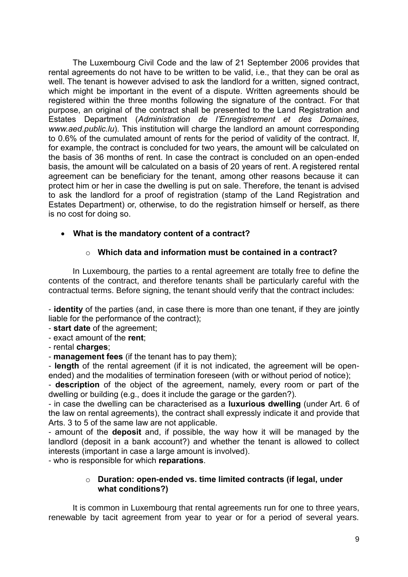The Luxembourg Civil Code and the law of 21 September 2006 provides that rental agreements do not have to be written to be valid, i.e., that they can be oral as well. The tenant is however advised to ask the landlord for a written, signed contract, which might be important in the event of a dispute. Written agreements should be registered within the three months following the signature of the contract. For that purpose, an original of the contract shall be presented to the Land Registration and Estates Department (*Administration de l'Enregistrement et des Domaines, [www.aed.public.lu](http://www.aed.public.lu).this/)*). This institution will charge the landlord an amount corresponding to 0.6% of the cumulated amount of rents for the period of validity of the contract. If, for example, the contract is concluded for two years, the amount will be calculated on the basis of 36 months of rent. In case the contract is concluded on an open-ended basis, the amount will be calculated on a basis of 20 years of rent. A registered rental agreement can be beneficiary for the tenant, among other reasons because it can protect him or her in case the dwelling is put on sale. Therefore, the tenant is advised to ask the landlord for a proof of registration (stamp of the Land Registration and Estates Department) or, otherwise, to do the registration himself or herself, as there is no cost for doing so.

# **What is the mandatory content of a contract?**

# o **Which data and information must be contained in a contract?**

In Luxembourg, the parties to a rental agreement are totally free to define the contents of the contract, and therefore tenants shall be particularly careful with the contractual terms. Before signing, the tenant should verify that the contract includes:

- **identity** of the parties (and, in case there is more than one tenant, if they are jointly liable for the performance of the contract);

- **start date** of the agreement;
- exact amount of the **rent**;

- rental **charges**;

- **management fees** (if the tenant has to pay them);

- **length** of the rental agreement (if it is not indicated, the agreement will be openended) and the modalities of termination foreseen (with or without period of notice);

- **description** of the object of the agreement, namely, every room or part of the dwelling or building (e.g., does it include the garage or the garden?).

- in case the dwelling can be characterised as a **luxurious dwelling** (under Art. 6 of the law on rental agreements), the contract shall expressly indicate it and provide that Arts. 3 to 5 of the same law are not applicable.

- amount of the **deposit** and, if possible, the way how it will be managed by the landlord (deposit in a bank account?) and whether the tenant is allowed to collect interests (important in case a large amount is involved).

- who is responsible for which **reparations**.

#### o **Duration: open-ended vs. time limited contracts (if legal, under what conditions?)**

It is common in Luxembourg that rental agreements run for one to three years, renewable by tacit agreement from year to year or for a period of several years.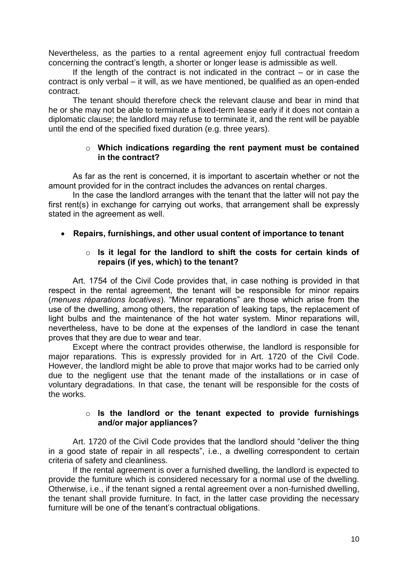Nevertheless, as the parties to a rental agreement enjoy full contractual freedom concerning the contract's length, a shorter or longer lease is admissible as well.

If the length of the contract is not indicated in the contract  $-$  or in case the contract is only verbal – it will, as we have mentioned, be qualified as an open-ended contract.

The tenant should therefore check the relevant clause and bear in mind that he or she may not be able to terminate a fixed-term lease early if it does not contain a diplomatic clause; the landlord may refuse to terminate it, and the rent will be payable until the end of the specified fixed duration (e.g. three years).

#### o **Which indications regarding the rent payment must be contained in the contract?**

As far as the rent is concerned, it is important to ascertain whether or not the amount provided for in the contract includes the advances on rental charges.

In the case the landlord arranges with the tenant that the latter will not pay the first rent(s) in exchange for carrying out works, that arrangement shall be expressly stated in the agreement as well.

#### **Repairs, furnishings, and other usual content of importance to tenant**

#### o **Is it legal for the landlord to shift the costs for certain kinds of repairs (if yes, which) to the tenant?**

Art. 1754 of the Civil Code provides that, in case nothing is provided in that respect in the rental agreement, the tenant will be responsible for minor repairs (*menues réparations locatives*). "Minor reparations" are those which arise from the use of the dwelling, among others, the reparation of leaking taps, the replacement of light bulbs and the maintenance of the hot water system. Minor reparations will, nevertheless, have to be done at the expenses of the landlord in case the tenant proves that they are due to wear and tear.

Except where the contract provides otherwise, the landlord is responsible for major reparations. This is expressly provided for in Art. 1720 of the Civil Code. However, the landlord might be able to prove that major works had to be carried only due to the negligent use that the tenant made of the installations or in case of voluntary degradations. In that case, the tenant will be responsible for the costs of the works.

#### o **Is the landlord or the tenant expected to provide furnishings and/or major appliances?**

Art. 1720 of the Civil Code provides that the landlord should "deliver the thing in a good state of repair in all respects", i.e., a dwelling correspondent to certain criteria of safety and cleanliness.

If the rental agreement is over a furnished dwelling, the landlord is expected to provide the furniture which is considered necessary for a normal use of the dwelling. Otherwise, i.e., if the tenant signed a rental agreement over a non-furnished dwelling, the tenant shall provide furniture. In fact, in the latter case providing the necessary furniture will be one of the tenant's contractual obligations.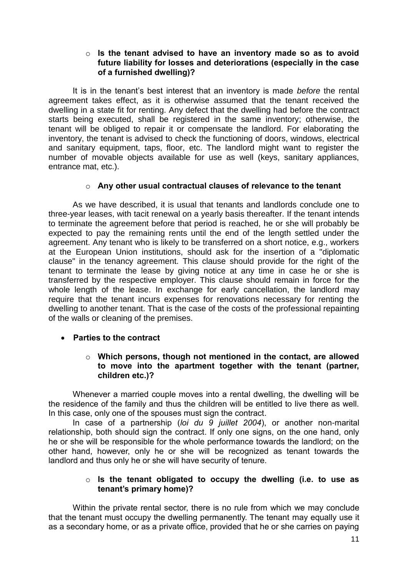#### o **Is the tenant advised to have an inventory made so as to avoid future liability for losses and deteriorations (especially in the case of a furnished dwelling)?**

It is in the tenant's best interest that an inventory is made *before* the rental agreement takes effect, as it is otherwise assumed that the tenant received the dwelling in a state fit for renting. Any defect that the dwelling had before the contract starts being executed, shall be registered in the same inventory; otherwise, the tenant will be obliged to repair it or compensate the landlord. For elaborating the inventory, the tenant is advised to check the functioning of doors, windows, electrical and sanitary equipment, taps, floor, etc. The landlord might want to register the number of movable objects available for use as well (keys, sanitary appliances, entrance mat, etc.).

#### o **Any other usual contractual clauses of relevance to the tenant**

As we have described, it is usual that tenants and landlords conclude one to three-year leases, with tacit renewal on a yearly basis thereafter. If the tenant intends to terminate the agreement before that period is reached, he or she will probably be expected to pay the remaining rents until the end of the length settled under the agreement. Any tenant who is likely to be transferred on a short notice, e.g., workers at the European Union institutions, should ask for the insertion of a "diplomatic clause" in the tenancy agreement. This clause should provide for the right of the tenant to terminate the lease by giving notice at any time in case he or she is transferred by the respective employer. This clause should remain in force for the whole length of the lease. In exchange for early cancellation, the landlord may require that the tenant incurs expenses for renovations necessary for renting the dwelling to another tenant. That is the case of the costs of the professional repainting of the walls or cleaning of the premises.

**Parties to the contract**

#### o **Which persons, though not mentioned in the contact, are allowed to move into the apartment together with the tenant (partner, children etc.)?**

Whenever a married couple moves into a rental dwelling, the dwelling will be the residence of the family and thus the children will be entitled to live there as well. In this case, only one of the spouses must sign the contract.

In case of a partnership (*loi du 9 juillet 2004*), or another non-marital relationship, both should sign the contract. If only one signs, on the one hand, only he or she will be responsible for the whole performance towards the landlord; on the other hand, however, only he or she will be recognized as tenant towards the landlord and thus only he or she will have security of tenure.

#### o **Is the tenant obligated to occupy the dwelling (i.e. to use as tenant's primary home)?**

Within the private rental sector, there is no rule from which we may conclude that the tenant must occupy the dwelling permanently. The tenant may equally use it as a secondary home, or as a private office, provided that he or she carries on paying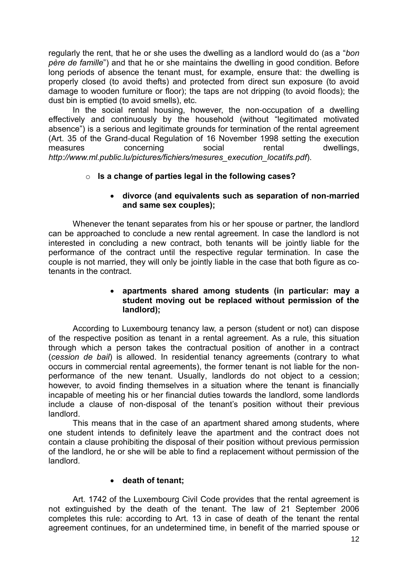regularly the rent, that he or she uses the dwelling as a landlord would do (as a "*bon père de famille*") and that he or she maintains the dwelling in good condition. Before long periods of absence the tenant must, for example, ensure that: the dwelling is properly closed (to avoid thefts) and protected from direct sun exposure (to avoid damage to wooden furniture or floor); the taps are not dripping (to avoid floods); the dust bin is emptied (to avoid smells), etc.

In the social rental housing, however, the non-occupation of a dwelling effectively and continuously by the household (without "legitimated motivated absence") is a serious and legitimate grounds for termination of the rental agreement (Art. 35 of the Grand-ducal Regulation of 16 November 1998 setting the execution measures concerning social rental dwellings, *[http://www.ml.public.lu/pictures/fichiers/mesures\\_execution\\_locatifs.pdf](http://www.ml.public.lu/pictures/fichiers/mesures_execution_locatifs.pdf)*).

# o **Is a change of parties legal in the following cases?**

#### **divorce (and equivalents such as separation of non-married and same sex couples);**

Whenever the tenant separates from his or her spouse or partner, the landlord can be approached to conclude a new rental agreement. In case the landlord is not interested in concluding a new contract, both tenants will be jointly liable for the performance of the contract until the respective regular termination. In case the couple is not married, they will only be jointly liable in the case that both figure as cotenants in the contract.

#### **apartments shared among students (in particular: may a student moving out be replaced without permission of the landlord);**

According to Luxembourg tenancy law, a person (student or not) can dispose of the respective position as tenant in a rental agreement. As a rule, this situation through which a person takes the contractual position of another in a contract (*cession de bail*) is allowed. In residential tenancy agreements (contrary to what occurs in commercial rental agreements), the former tenant is not liable for the nonperformance of the new tenant. Usually, landlords do not object to a cession; however, to avoid finding themselves in a situation where the tenant is financially incapable of meeting his or her financial duties towards the landlord, some landlords include a clause of non-disposal of the tenant's position without their previous landlord.

This means that in the case of an apartment shared among students, where one student intends to definitely leave the apartment and the contract does not contain a clause prohibiting the disposal of their position without previous permission of the landlord, he or she will be able to find a replacement without permission of the landlord.

# **death of tenant;**

Art. 1742 of the Luxembourg Civil Code provides that the rental agreement is not extinguished by the death of the tenant. The law of 21 September 2006 completes this rule: according to Art. 13 in case of death of the tenant the rental agreement continues, for an undetermined time, in benefit of the married spouse or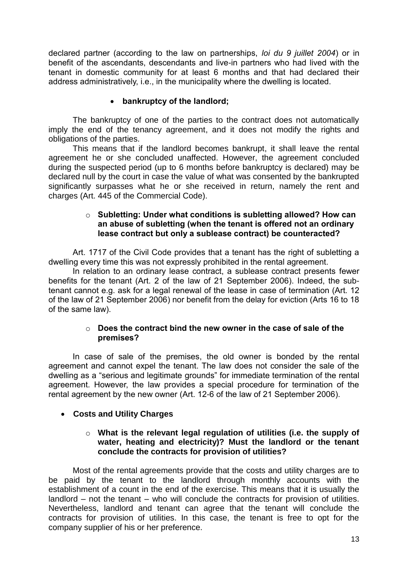declared partner (according to the law on partnerships, *loi du 9 juillet 2004*) or in benefit of the ascendants, descendants and live-in partners who had lived with the tenant in domestic community for at least 6 months and that had declared their address administratively, i.e., in the municipality where the dwelling is located.

# **bankruptcy of the landlord;**

The bankruptcy of one of the parties to the contract does not automatically imply the end of the tenancy agreement, and it does not modify the rights and obligations of the parties.

This means that if the landlord becomes bankrupt, it shall leave the rental agreement he or she concluded unaffected. However, the agreement concluded during the suspected period (up to 6 months before bankruptcy is declared) may be declared null by the court in case the value of what was consented by the bankrupted significantly surpasses what he or she received in return, namely the rent and charges (Art. 445 of the Commercial Code).

#### o **Subletting: Under what conditions is subletting allowed? How can an abuse of subletting (when the tenant is offered not an ordinary lease contract but only a sublease contract) be counteracted?**

Art. 1717 of the Civil Code provides that a tenant has the right of subletting a dwelling every time this was not expressly prohibited in the rental agreement.

In relation to an ordinary lease contract, a sublease contract presents fewer benefits for the tenant (Art. 2 of the law of 21 September 2006). Indeed, the subtenant cannot e.g. ask for a legal renewal of the lease in case of termination (Art. 12 of the law of 21 September 2006) nor benefit from the delay for eviction (Arts 16 to 18 of the same law).

#### o **Does the contract bind the new owner in the case of sale of the premises?**

In case of sale of the premises, the old owner is bonded by the rental agreement and cannot expel the tenant. The law does not consider the sale of the dwelling as a "serious and legitimate grounds" for immediate termination of the rental agreement. However, the law provides a special procedure for termination of the rental agreement by the new owner (Art. 12-6 of the law of 21 September 2006).

# **Costs and Utility Charges**

#### o **What is the relevant legal regulation of utilities (i.e. the supply of water, heating and electricity)? Must the landlord or the tenant conclude the contracts for provision of utilities?**

Most of the rental agreements provide that the costs and utility charges are to be paid by the tenant to the landlord through monthly accounts with the establishment of a count in the end of the exercise. This means that it is usually the landlord – not the tenant – who will conclude the contracts for provision of utilities. Nevertheless, landlord and tenant can agree that the tenant will conclude the contracts for provision of utilities. In this case, the tenant is free to opt for the company supplier of his or her preference.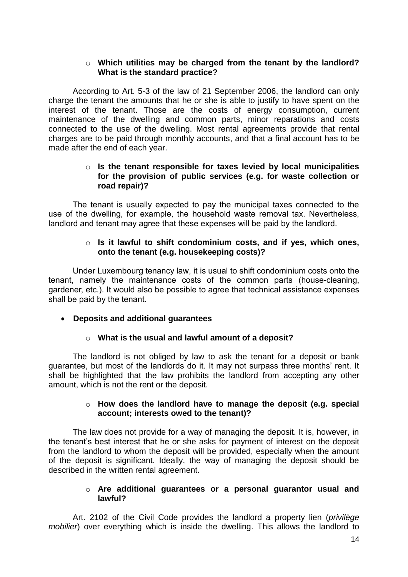#### o **Which utilities may be charged from the tenant by the landlord? What is the standard practice?**

According to Art. 5-3 of the law of 21 September 2006, the landlord can only charge the tenant the amounts that he or she is able to justify to have spent on the interest of the tenant. Those are the costs of energy consumption, current maintenance of the dwelling and common parts, minor reparations and costs connected to the use of the dwelling. Most rental agreements provide that rental charges are to be paid through monthly accounts, and that a final account has to be made after the end of each year.

#### o **Is the tenant responsible for taxes levied by local municipalities for the provision of public services (e.g. for waste collection or road repair)?**

The tenant is usually expected to pay the municipal taxes connected to the use of the dwelling, for example, the household waste removal tax. Nevertheless, landlord and tenant may agree that these expenses will be paid by the landlord.

#### o **Is it lawful to shift condominium costs, and if yes, which ones, onto the tenant (e.g. housekeeping costs)?**

Under Luxembourg tenancy law, it is usual to shift condominium costs onto the tenant, namely the maintenance costs of the common parts (house-cleaning, gardener, etc.). It would also be possible to agree that technical assistance expenses shall be paid by the tenant.

#### **Deposits and additional guarantees**

#### o **What is the usual and lawful amount of a deposit?**

The landlord is not obliged by law to ask the tenant for a deposit or bank guarantee, but most of the landlords do it. It may not surpass three months' rent. It shall be highlighted that the law prohibits the landlord from accepting any other amount, which is not the rent or the deposit.

#### o **How does the landlord have to manage the deposit (e.g. special account; interests owed to the tenant)?**

The law does not provide for a way of managing the deposit. It is, however, in the tenant's best interest that he or she asks for payment of interest on the deposit from the landlord to whom the deposit will be provided, especially when the amount of the deposit is significant. Ideally, the way of managing the deposit should be described in the written rental agreement.

#### o **Are additional guarantees or a personal guarantor usual and lawful?**

Art. 2102 of the Civil Code provides the landlord a property lien (*privilège mobilier*) over everything which is inside the dwelling. This allows the landlord to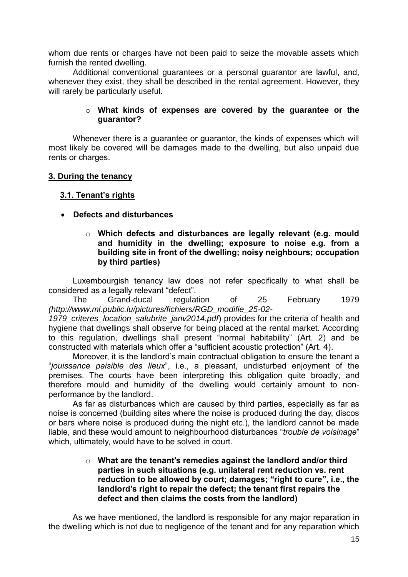whom due rents or charges have not been paid to seize the movable assets which furnish the rented dwelling.

Additional conventional guarantees or a personal guarantor are lawful, and, whenever they exist, they shall be described in the rental agreement. However, they will rarely be particularly useful.

#### o **What kinds of expenses are covered by the guarantee or the guarantor?**

Whenever there is a guarantee or guarantor, the kinds of expenses which will most likely be covered will be damages made to the dwelling, but also unpaid due rents or charges.

#### <span id="page-14-0"></span>**3. During the tenancy**

#### <span id="page-14-1"></span> **3.1. Tenant's rights**

#### **Defects and disturbances**

o **Which defects and disturbances are legally relevant (e.g. mould and humidity in the dwelling; exposure to noise e.g. from a building site in front of the dwelling; noisy neighbours; occupation by third parties)**

Luxembourgish tenancy law does not refer specifically to what shall be considered as a legally relevant "defect".

The Grand-ducal regulation of 25 February 1979 *[\(http://www.ml.public.lu/pictures/fichiers/RGD\\_modifie\\_25-02-](http://www.ml.public.lu/pictures/fichiers/RGD_modifie_25-02-1979_criteres_location_salubrite_janv2014.pdf)*

1979 criteres location salubrite janv2014.pdf) provides for the criteria of health and hygiene that dwellings shall observe for being placed at the rental market. According to this regulation, dwellings shall present "normal habitability" (Art. 2) and be constructed with materials which offer a "sufficient acoustic protection" (Art. 4).

Moreover, it is the landlord's main contractual obligation to ensure the tenant a "*jouissance paisible des lieux*", i.e., a pleasant, undisturbed enjoyment of the premises. The courts have been interpreting this obligation quite broadly, and therefore mould and humidity of the dwelling would certainly amount to nonperformance by the landlord.

As far as disturbances which are caused by third parties, especially as far as noise is concerned (building sites where the noise is produced during the day, discos or bars where noise is produced during the night etc.), the landlord cannot be made liable, and these would amount to neighbourhood disturbances "*trouble de voisinage*" which, ultimately, would have to be solved in court.

#### o **What are the tenant's remedies against the landlord and/or third parties in such situations (e.g. unilateral rent reduction vs. rent reduction to be allowed by court; damages; "right to cure", i.e., the landlord's right to repair the defect; the tenant first repairs the defect and then claims the costs from the landlord)**

As we have mentioned, the landlord is responsible for any major reparation in the dwelling which is not due to negligence of the tenant and for any reparation which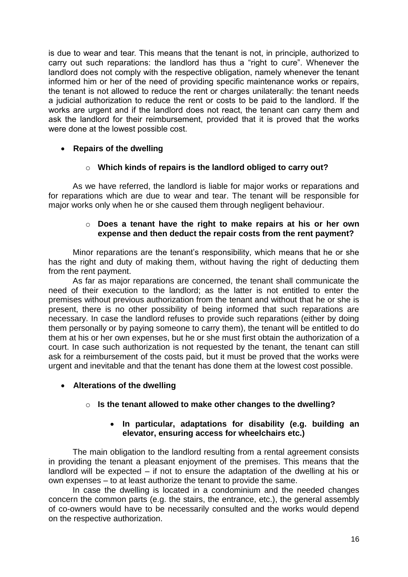is due to wear and tear. This means that the tenant is not, in principle, authorized to carry out such reparations: the landlord has thus a "right to cure". Whenever the landlord does not comply with the respective obligation, namely whenever the tenant informed him or her of the need of providing specific maintenance works or repairs, the tenant is not allowed to reduce the rent or charges unilaterally: the tenant needs a judicial authorization to reduce the rent or costs to be paid to the landlord. If the works are urgent and if the landlord does not react, the tenant can carry them and ask the landlord for their reimbursement, provided that it is proved that the works were done at the lowest possible cost.

#### **•** Repairs of the dwelling

#### o **Which kinds of repairs is the landlord obliged to carry out?**

As we have referred, the landlord is liable for major works or reparations and for reparations which are due to wear and tear. The tenant will be responsible for major works only when he or she caused them through negligent behaviour.

#### o **Does a tenant have the right to make repairs at his or her own expense and then deduct the repair costs from the rent payment?**

Minor reparations are the tenant's responsibility, which means that he or she has the right and duty of making them, without having the right of deducting them from the rent payment.

As far as major reparations are concerned, the tenant shall communicate the need of their execution to the landlord; as the latter is not entitled to enter the premises without previous authorization from the tenant and without that he or she is present, there is no other possibility of being informed that such reparations are necessary. In case the landlord refuses to provide such reparations (either by doing them personally or by paying someone to carry them), the tenant will be entitled to do them at his or her own expenses, but he or she must first obtain the authorization of a court. In case such authorization is not requested by the tenant, the tenant can still ask for a reimbursement of the costs paid, but it must be proved that the works were urgent and inevitable and that the tenant has done them at the lowest cost possible.

#### **Alterations of the dwelling**

#### o **Is the tenant allowed to make other changes to the dwelling?**

#### **In particular, adaptations for disability (e.g. building an elevator, ensuring access for wheelchairs etc.)**

The main obligation to the landlord resulting from a rental agreement consists in providing the tenant a pleasant enjoyment of the premises. This means that the landlord will be expected – if not to ensure the adaptation of the dwelling at his or own expenses – to at least authorize the tenant to provide the same.

In case the dwelling is located in a condominium and the needed changes concern the common parts (e.g. the stairs, the entrance, etc.), the general assembly of co-owners would have to be necessarily consulted and the works would depend on the respective authorization.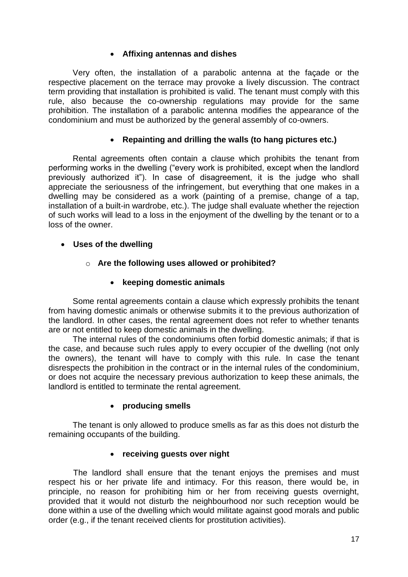## **Affixing antennas and dishes**

Very often, the installation of a parabolic antenna at the façade or the respective placement on the terrace may provoke a lively discussion. The contract term providing that installation is prohibited is valid. The tenant must comply with this rule, also because the co-ownership regulations may provide for the same prohibition. The installation of a parabolic antenna modifies the appearance of the condominium and must be authorized by the general assembly of co-owners.

# **Repainting and drilling the walls (to hang pictures etc.)**

Rental agreements often contain a clause which prohibits the tenant from performing works in the dwelling ("every work is prohibited, except when the landlord previously authorized it"). In case of disagreement, it is the judge who shall appreciate the seriousness of the infringement, but everything that one makes in a dwelling may be considered as a work (painting of a premise, change of a tap, installation of a built-in wardrobe, etc.). The judge shall evaluate whether the rejection of such works will lead to a loss in the enjoyment of the dwelling by the tenant or to a loss of the owner.

**Uses of the dwelling**

#### o **Are the following uses allowed or prohibited?**

#### **keeping domestic animals**

Some rental agreements contain a clause which expressly prohibits the tenant from having domestic animals or otherwise submits it to the previous authorization of the landlord. In other cases, the rental agreement does not refer to whether tenants are or not entitled to keep domestic animals in the dwelling.

The internal rules of the condominiums often forbid domestic animals; if that is the case, and because such rules apply to every occupier of the dwelling (not only the owners), the tenant will have to comply with this rule. In case the tenant disrespects the prohibition in the contract or in the internal rules of the condominium, or does not acquire the necessary previous authorization to keep these animals, the landlord is entitled to terminate the rental agreement.

#### **producing smells**

The tenant is only allowed to produce smells as far as this does not disturb the remaining occupants of the building.

#### **receiving guests over night**

The landlord shall ensure that the tenant enjoys the premises and must respect his or her private life and intimacy. For this reason, there would be, in principle, no reason for prohibiting him or her from receiving guests overnight, provided that it would not disturb the neighbourhood nor such reception would be done within a use of the dwelling which would militate against good morals and public order (e.g., if the tenant received clients for prostitution activities).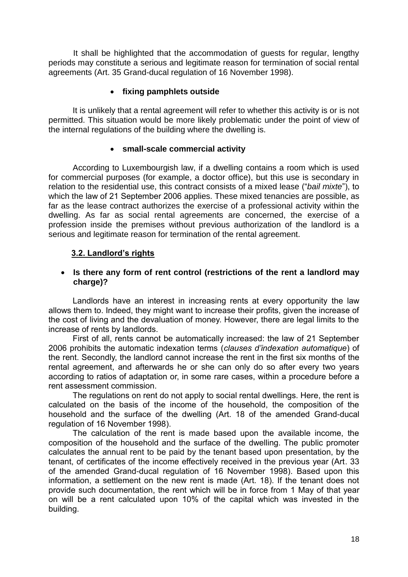It shall be highlighted that the accommodation of guests for regular, lengthy periods may constitute a serious and legitimate reason for termination of social rental agreements (Art. 35 Grand-ducal regulation of 16 November 1998).

# **fixing pamphlets outside**

It is unlikely that a rental agreement will refer to whether this activity is or is not permitted. This situation would be more likely problematic under the point of view of the internal regulations of the building where the dwelling is.

#### **small-scale commercial activity**

According to Luxembourgish law, if a dwelling contains a room which is used for commercial purposes (for example, a doctor office), but this use is secondary in relation to the residential use, this contract consists of a mixed lease ("*bail mixte*"), to which the law of 21 September 2006 applies. These mixed tenancies are possible, as far as the lease contract authorizes the exercise of a professional activity within the dwelling. As far as social rental agreements are concerned, the exercise of a profession inside the premises without previous authorization of the landlord is a serious and legitimate reason for termination of the rental agreement.

#### <span id="page-17-0"></span> **3.2. Landlord's rights**

#### **Is there any form of rent control (restrictions of the rent a landlord may charge)?**

Landlords have an interest in increasing rents at every opportunity the law allows them to. Indeed, they might want to increase their profits, given the increase of the cost of living and the devaluation of money. However, there are legal limits to the increase of rents by landlords.

First of all, rents cannot be automatically increased: the law of 21 September 2006 prohibits the automatic indexation terms (*clauses d'indexation automatique*) of the rent. Secondly, the landlord cannot increase the rent in the first six months of the rental agreement, and afterwards he or she can only do so after every two years according to ratios of adaptation or, in some rare cases, within a procedure before a rent assessment commission.

The regulations on rent do not apply to social rental dwellings. Here, the rent is calculated on the basis of the income of the household, the composition of the household and the surface of the dwelling (Art. 18 of the amended Grand-ducal regulation of 16 November 1998).

The calculation of the rent is made based upon the available income, the composition of the household and the surface of the dwelling. The public promoter calculates the annual rent to be paid by the tenant based upon presentation, by the tenant, of certificates of the income effectively received in the previous year (Art. 33 of the amended Grand-ducal regulation of 16 November 1998). Based upon this information, a settlement on the new rent is made (Art. 18). If the tenant does not provide such documentation, the rent which will be in force from 1 May of that year on will be a rent calculated upon 10% of the capital which was invested in the building.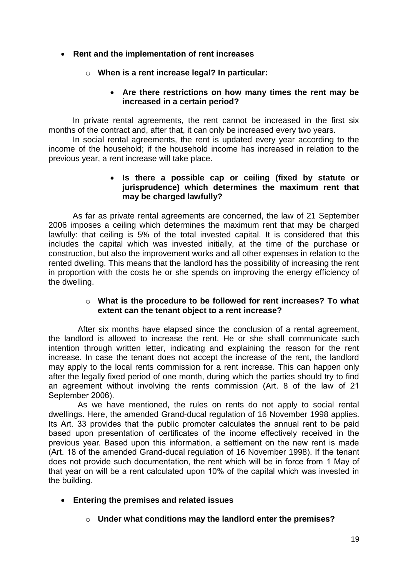# **Rent and the implementation of rent increases**

## o **When is a rent increase legal? In particular:**

#### **Are there restrictions on how many times the rent may be increased in a certain period?**

In private rental agreements, the rent cannot be increased in the first six months of the contract and, after that, it can only be increased every two years.

In social rental agreements, the rent is updated every year according to the income of the household; if the household income has increased in relation to the previous year, a rent increase will take place.

#### **Is there a possible cap or ceiling (fixed by statute or jurisprudence) which determines the maximum rent that may be charged lawfully?**

As far as private rental agreements are concerned, the law of 21 September 2006 imposes a ceiling which determines the maximum rent that may be charged lawfully: that ceiling is 5% of the total invested capital. It is considered that this includes the capital which was invested initially, at the time of the purchase or construction, but also the improvement works and all other expenses in relation to the rented dwelling. This means that the landlord has the possibility of increasing the rent in proportion with the costs he or she spends on improving the energy efficiency of the dwelling.

#### o **What is the procedure to be followed for rent increases? To what extent can the tenant object to a rent increase?**

After six months have elapsed since the conclusion of a rental agreement, the landlord is allowed to increase the rent. He or she shall communicate such intention through written letter, indicating and explaining the reason for the rent increase. In case the tenant does not accept the increase of the rent, the landlord may apply to the local rents commission for a rent increase. This can happen only after the legally fixed period of one month, during which the parties should try to find an agreement without involving the rents commission (Art. 8 of the law of 21 September 2006).

As we have mentioned, the rules on rents do not apply to social rental dwellings. Here, the amended Grand-ducal regulation of 16 November 1998 applies. Its Art. 33 provides that the public promoter calculates the annual rent to be paid based upon presentation of certificates of the income effectively received in the previous year. Based upon this information, a settlement on the new rent is made (Art. 18 of the amended Grand-ducal regulation of 16 November 1998). If the tenant does not provide such documentation, the rent which will be in force from 1 May of that year on will be a rent calculated upon 10% of the capital which was invested in the building.

# **Entering the premises and related issues**

# o **Under what conditions may the landlord enter the premises?**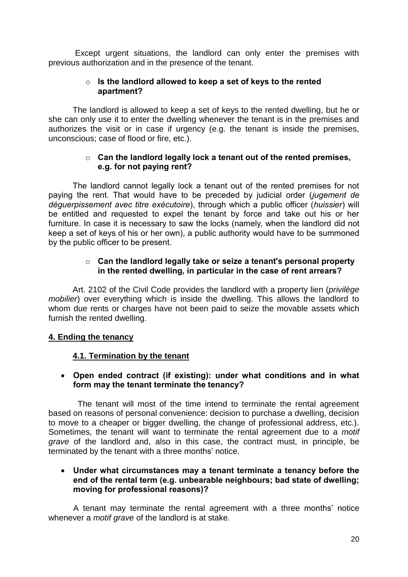Except urgent situations, the landlord can only enter the premises with previous authorization and in the presence of the tenant.

#### o **Is the landlord allowed to keep a set of keys to the rented apartment?**

The landlord is allowed to keep a set of keys to the rented dwelling, but he or she can only use it to enter the dwelling whenever the tenant is in the premises and authorizes the visit or in case if urgency (e.g. the tenant is inside the premises, unconscious; case of flood or fire, etc.).

#### o **Can the landlord legally lock a tenant out of the rented premises, e.g. for not paying rent?**

The landlord cannot legally lock a tenant out of the rented premises for not paying the rent. That would have to be preceded by judicial order (*jugement de déguerpissement avec titre exécutoire*), through which a public officer (*huissier*) will be entitled and requested to expel the tenant by force and take out his or her furniture. In case it is necessary to saw the locks (namely, when the landlord did not keep a set of keys of his or her own), a public authority would have to be summoned by the public officer to be present.

# o **Can the landlord legally take or seize a tenant's personal property in the rented dwelling, in particular in the case of rent arrears?**

Art. 2102 of the Civil Code provides the landlord with a property lien (*privilège mobilier*) over everything which is inside the dwelling. This allows the landlord to whom due rents or charges have not been paid to seize the movable assets which furnish the rented dwelling.

# <span id="page-19-0"></span>**4. Ending the tenancy**

# <span id="page-19-1"></span>**4.1. Termination by the tenant**

# **Open ended contract (if existing): under what conditions and in what form may the tenant terminate the tenancy?**

The tenant will most of the time intend to terminate the rental agreement based on reasons of personal convenience: decision to purchase a dwelling, decision to move to a cheaper or bigger dwelling, the change of professional address, etc.). Sometimes, the tenant will want to terminate the rental agreement due to a *motif grave* of the landlord and, also in this case, the contract must, in principle, be terminated by the tenant with a three months' notice.

#### **Under what circumstances may a tenant terminate a tenancy before the end of the rental term (e.g. unbearable neighbours; bad state of dwelling; moving for professional reasons)?**

A tenant may terminate the rental agreement with a three months' notice whenever a *motif grave* of the landlord is at stake.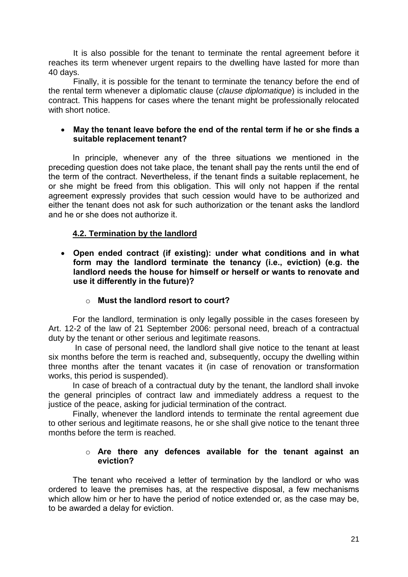It is also possible for the tenant to terminate the rental agreement before it reaches its term whenever urgent repairs to the dwelling have lasted for more than 40 days.

Finally, it is possible for the tenant to terminate the tenancy before the end of the rental term whenever a diplomatic clause (*clause diplomatique*) is included in the contract. This happens for cases where the tenant might be professionally relocated with short notice.

#### **May the tenant leave before the end of the rental term if he or she finds a suitable replacement tenant?**

In principle, whenever any of the three situations we mentioned in the preceding question does not take place, the tenant shall pay the rents until the end of the term of the contract. Nevertheless, if the tenant finds a suitable replacement, he or she might be freed from this obligation. This will only not happen if the rental agreement expressly provides that such cession would have to be authorized and either the tenant does not ask for such authorization or the tenant asks the landlord and he or she does not authorize it.

# <span id="page-20-0"></span>**4.2. Termination by the landlord**

 **Open ended contract (if existing): under what conditions and in what form may the landlord terminate the tenancy (i.e., eviction) (e.g. the landlord needs the house for himself or herself or wants to renovate and use it differently in the future)?**

# o **Must the landlord resort to court?**

For the landlord, termination is only legally possible in the cases foreseen by Art. 12-2 of the law of 21 September 2006: personal need, breach of a contractual duty by the tenant or other serious and legitimate reasons.

In case of personal need, the landlord shall give notice to the tenant at least six months before the term is reached and, subsequently, occupy the dwelling within three months after the tenant vacates it (in case of renovation or transformation works, this period is suspended).

In case of breach of a contractual duty by the tenant, the landlord shall invoke the general principles of contract law and immediately address a request to the justice of the peace, asking for judicial termination of the contract.

Finally, whenever the landlord intends to terminate the rental agreement due to other serious and legitimate reasons, he or she shall give notice to the tenant three months before the term is reached.

#### o **Are there any defences available for the tenant against an eviction?**

The tenant who received a letter of termination by the landlord or who was ordered to leave the premises has, at the respective disposal, a few mechanisms which allow him or her to have the period of notice extended or, as the case may be, to be awarded a delay for eviction.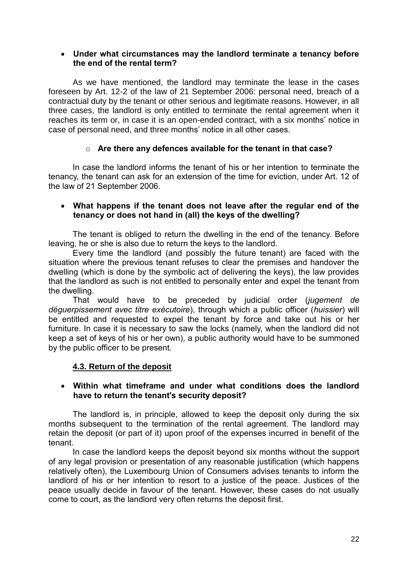#### **Under what circumstances may the landlord terminate a tenancy before the end of the rental term?**

As we have mentioned, the landlord may terminate the lease in the cases foreseen by Art. 12-2 of the law of 21 September 2006: personal need, breach of a contractual duty by the tenant or other serious and legitimate reasons. However, in all three cases, the landlord is only entitled to terminate the rental agreement when it reaches its term or, in case it is an open-ended contract, with a six months' notice in case of personal need, and three months' notice in all other cases.

#### o **Are there any defences available for the tenant in that case?**

In case the landlord informs the tenant of his or her intention to terminate the tenancy, the tenant can ask for an extension of the time for eviction, under Art. 12 of the law of 21 September 2006.

#### **What happens if the tenant does not leave after the regular end of the tenancy or does not hand in (all) the keys of the dwelling?**

The tenant is obliged to return the dwelling in the end of the tenancy. Before leaving, he or she is also due to return the keys to the landlord.

Every time the landlord (and possibly the future tenant) are faced with the situation where the previous tenant refuses to clear the premises and handover the dwelling (which is done by the symbolic act of delivering the keys), the law provides that the landlord as such is not entitled to personally enter and expel the tenant from the dwelling.

That would have to be preceded by judicial order (*jugement de déguerpissement avec titre exécutoire*), through which a public officer (*huissier*) will be entitled and requested to expel the tenant by force and take out his or her furniture. In case it is necessary to saw the locks (namely, when the landlord did not keep a set of keys of his or her own), a public authority would have to be summoned by the public officer to be present.

# <span id="page-21-0"></span>**4.3. Return of the deposit**

#### **Within what timeframe and under what conditions does the landlord have to return the tenant's security deposit?**

The landlord is, in principle, allowed to keep the deposit only during the six months subsequent to the termination of the rental agreement. The landlord may retain the deposit (or part of it) upon proof of the expenses incurred in benefit of the tenant.

In case the landlord keeps the deposit beyond six months without the support of any legal provision or presentation of any reasonable justification (which happens relatively often), the Luxembourg Union of Consumers advises tenants to inform the landlord of his or her intention to resort to a justice of the peace. Justices of the peace usually decide in favour of the tenant. However, these cases do not usually come to court, as the landlord very often returns the deposit first*.*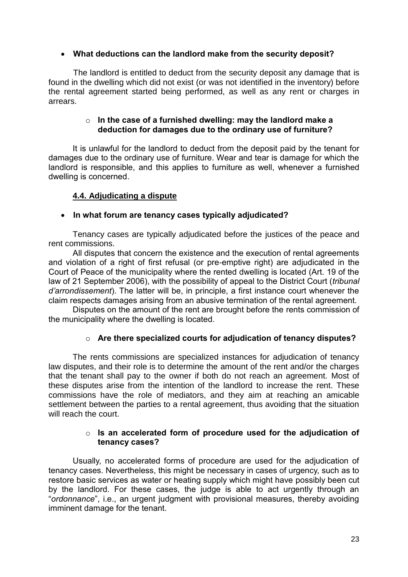## **What deductions can the landlord make from the security deposit?**

The landlord is entitled to deduct from the security deposit any damage that is found in the dwelling which did not exist (or was not identified in the inventory) before the rental agreement started being performed, as well as any rent or charges in arrears.

#### o **In the case of a furnished dwelling: may the landlord make a deduction for damages due to the ordinary use of furniture?**

It is unlawful for the landlord to deduct from the deposit paid by the tenant for damages due to the ordinary use of furniture. Wear and tear is damage for which the landlord is responsible, and this applies to furniture as well, whenever a furnished dwelling is concerned.

# <span id="page-22-0"></span>**4.4. Adjudicating a dispute**

#### **In what forum are tenancy cases typically adjudicated?**

Tenancy cases are typically adjudicated before the justices of the peace and rent commissions.

All disputes that concern the existence and the execution of rental agreements and violation of a right of first refusal (or pre-emptive right) are adjudicated in the Court of Peace of the municipality where the rented dwelling is located (Art. 19 of the law of 21 September 2006), with the possibility of appeal to the District Court (*tribunal d'arrondissement*). The latter will be, in principle, a first instance court whenever the claim respects damages arising from an abusive termination of the rental agreement.

Disputes on the amount of the rent are brought before the rents commission of the municipality where the dwelling is located.

#### o **Are there specialized courts for adjudication of tenancy disputes?**

The rents commissions are specialized instances for adjudication of tenancy law disputes, and their role is to determine the amount of the rent and/or the charges that the tenant shall pay to the owner if both do not reach an agreement. Most of these disputes arise from the intention of the landlord to increase the rent. These commissions have the role of mediators, and they aim at reaching an amicable settlement between the parties to a rental agreement, thus avoiding that the situation will reach the court.

#### o **Is an accelerated form of procedure used for the adjudication of tenancy cases?**

Usually, no accelerated forms of procedure are used for the adjudication of tenancy cases. Nevertheless, this might be necessary in cases of urgency, such as to restore basic services as water or heating supply which might have possibly been cut by the landlord. For these cases, the judge is able to act urgently through an "*ordonnance*", i.e., an urgent judgment with provisional measures, thereby avoiding imminent damage for the tenant.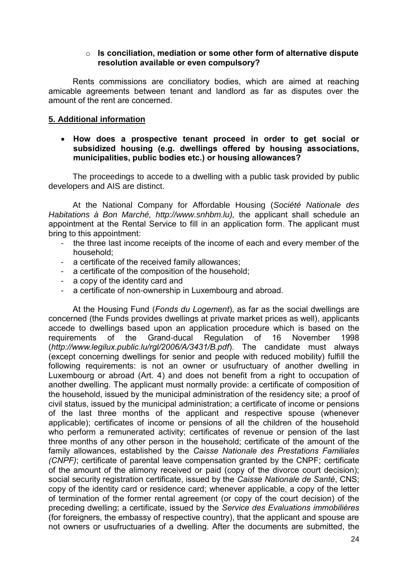#### o **Is conciliation, mediation or some other form of alternative dispute resolution available or even compulsory?**

Rents commissions are conciliatory bodies, which are aimed at reaching amicable agreements between tenant and landlord as far as disputes over the amount of the rent are concerned.

#### <span id="page-23-0"></span>**5. Additional information**

#### **How does a prospective tenant proceed in order to get social or subsidized housing (e.g. dwellings offered by housing associations, municipalities, public bodies etc.) or housing allowances?**

The proceedings to accede to a dwelling with a public task provided by public developers and AIS are distinct.

At the National Company for Affordable Housing (*Société Nationale des Habitations à Bon Marché, [http://www.snhbm.lu\)](http://www.snhbm.lu/),* the applicant shall schedule an appointment at the Rental Service to fill in an application form. The applicant must bring to this appointment:

- the three last income receipts of the income of each and every member of the household;
- a certificate of the received family allowances;
- a certificate of the composition of the household;
- a copy of the identity card and
- a certificate of non-ownership in Luxembourg and abroad.

At the Housing Fund (*Fonds du Logement*), as far as the social dwellings are concerned (the Funds provides dwellings at private market prices as well), applicants accede to dwellings based upon an application procedure which is based on the requirements of the Grand-ducal Regulation of 16 November 1998 (*<http://www.legilux.public.lu/rgl/2006/A/3431/B.pdf>*). The candidate must always (except concerning dwellings for senior and people with reduced mobility) fulfill the following requirements: is not an owner or usufructuary of another dwelling in Luxembourg or abroad (Art. 4) and does not benefit from a right to occupation of another dwelling. The applicant must normally provide: a certificate of composition of the household, issued by the municipal administration of the residency site; a proof of civil status, issued by the municipal administration; a certificate of income or pensions of the last three months of the applicant and respective spouse (whenever applicable); certificates of income or pensions of all the children of the household who perform a remunerated activity; certificates of revenue or pension of the last three months of any other person in the household; certificate of the amount of the family allowances, established by the *Caisse Nationale des Prestations Familiales (CNPF)*; certificate of parental leave compensation granted by the CNPF; certificate of the amount of the alimony received or paid (copy of the divorce court decision); social security registration certificate, issued by the *Caisse Nationale de Santé*, CNS; copy of the identity card or residence card; whenever applicable, a copy of the letter of termination of the former rental agreement (or copy of the court decision) of the preceding dwelling; a certificate, issued by the *Service des Evaluations immobilières*  (for foreigners, the embassy of respective country), that the applicant and spouse are not owners or usufructuaries of a dwelling. After the documents are submitted, the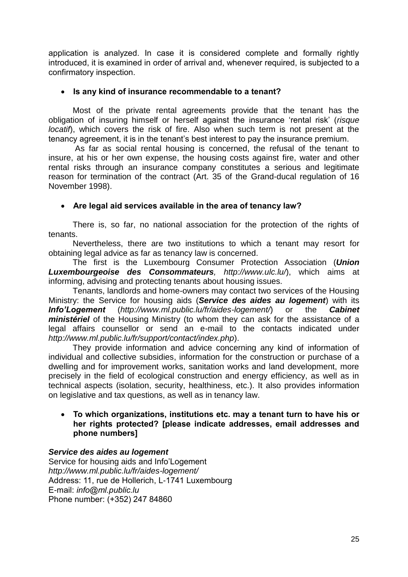application is analyzed. In case it is considered complete and formally rightly introduced, it is examined in order of arrival and, whenever required, is subjected to a confirmatory inspection.

#### **Is any kind of insurance recommendable to a tenant?**

Most of the private rental agreements provide that the tenant has the obligation of insuring himself or herself against the insurance 'rental risk' (*risque locatif*), which covers the risk of fire. Also when such term is not present at the tenancy agreement, it is in the tenant's best interest to pay the insurance premium.

As far as social rental housing is concerned, the refusal of the tenant to insure, at his or her own expense, the housing costs against fire, water and other rental risks through an insurance company constitutes a serious and legitimate reason for termination of the contract (Art. 35 of the Grand-ducal regulation of 16 November 1998).

# **Are legal aid services available in the area of tenancy law?**

There is, so far, no national association for the protection of the rights of tenants.

Nevertheless, there are two institutions to which a tenant may resort for obtaining legal advice as far as tenancy law is concerned.

The first is the Luxembourg Consumer Protection Association (*Union Luxembourgeoise des Consommateurs, <http://www.ulc.lu/>*), which aims at informing, advising and protecting tenants about housing issues.

Tenants, landlords and home-owners may contact two services of the Housing Ministry: the Service for housing aids (*Service des aides au logement*) with its *Info'Logement* (*<http://www.ml.public.lu/fr/aides-logement/>*) or the *Cabinet ministériel* of the Housing Ministry (to whom they can ask for the assistance of a legal affairs counsellor or send an e-mail to the contacts indicated under *http://www.ml.public.lu/fr/support/contact/index.php*).

They provide information and advice concerning any kind of information of individual and collective subsidies, information for the construction or purchase of a dwelling and for improvement works, sanitation works and land development, more precisely in the field of ecological construction and energy efficiency, as well as in technical aspects (isolation, security, healthiness, etc.). It also provides information on legislative and tax questions, as well as in tenancy law.

#### **To which organizations, institutions etc. may a tenant turn to have his or her rights protected? [please indicate addresses, email addresses and phone numbers]**

# *Service des aides au logement*

Service for housing aids and Info'Logement *<http://www.ml.public.lu/fr/aides-logement/>* Address: 11, rue de Hollerich, L-1741 Luxembourg E-mail: *[info@ml.public.lu](mailto:info@ml.public.lu)* Phone number: (+352) 247 84860